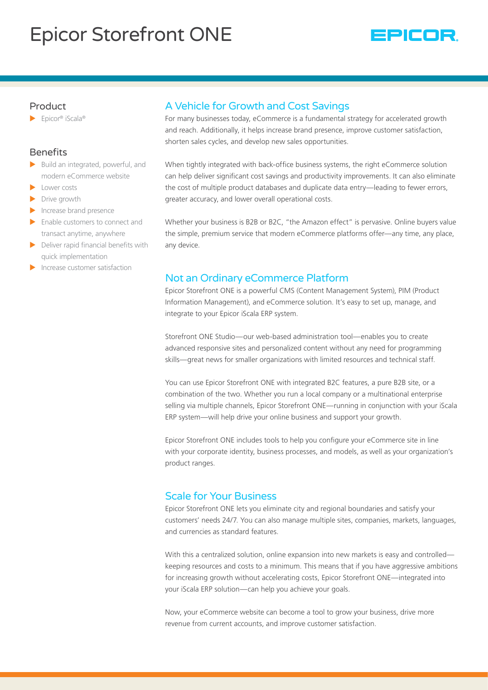# Epicor Storefront ONE



#### Product

 $\blacktriangleright$  Epicor® iScala®

#### **Benefits**

- $\blacktriangleright$  Build an integrated, powerful, and modern eCommerce website
- Lower costs
- $\blacktriangleright$  Drive growth
- $\blacktriangleright$  Increase brand presence
- Enable customers to connect and transact anytime, anywhere
- $\blacktriangleright$  Deliver rapid financial benefits with quick implementation
- Increase customer satisfaction

## A Vehicle for Growth and Cost Savings

For many businesses today, eCommerce is a fundamental strategy for accelerated growth and reach. Additionally, it helps increase brand presence, improve customer satisfaction, shorten sales cycles, and develop new sales opportunities.

When tightly integrated with back-office business systems, the right eCommerce solution can help deliver significant cost savings and productivity improvements. It can also eliminate the cost of multiple product databases and duplicate data entry—leading to fewer errors, greater accuracy, and lower overall operational costs.

Whether your business is B2B or B2C, "the Amazon effect" is pervasive. Online buyers value the simple, premium service that modern eCommerce platforms offer—any time, any place, any device.

### Not an Ordinary eCommerce Platform

Epicor Storefront ONE is a powerful CMS (Content Management System), PIM (Product Information Management), and eCommerce solution. It's easy to set up, manage, and integrate to your Epicor iScala ERP system.

Storefront ONE Studio—our web-based administration tool—enables you to create advanced responsive sites and personalized content without any need for programming skills—great news for smaller organizations with limited resources and technical staff.

You can use Epicor Storefront ONE with integrated B2C features, a pure B2B site, or a combination of the two. Whether you run a local company or a multinational enterprise selling via multiple channels, Epicor Storefront ONE—running in conjunction with your iScala ERP system—will help drive your online business and support your growth.

Epicor Storefront ONE includes tools to help you configure your eCommerce site in line with your corporate identity, business processes, and models, as well as your organization's product ranges.

## Scale for Your Business

Epicor Storefront ONE lets you eliminate city and regional boundaries and satisfy your customers' needs 24/7. You can also manage multiple sites, companies, markets, languages, and currencies as standard features.

With this a centralized solution, online expansion into new markets is easy and controlled keeping resources and costs to a minimum. This means that if you have aggressive ambitions for increasing growth without accelerating costs, Epicor Storefront ONE—integrated into your iScala ERP solution—can help you achieve your goals.

Now, your eCommerce website can become a tool to grow your business, drive more revenue from current accounts, and improve customer satisfaction.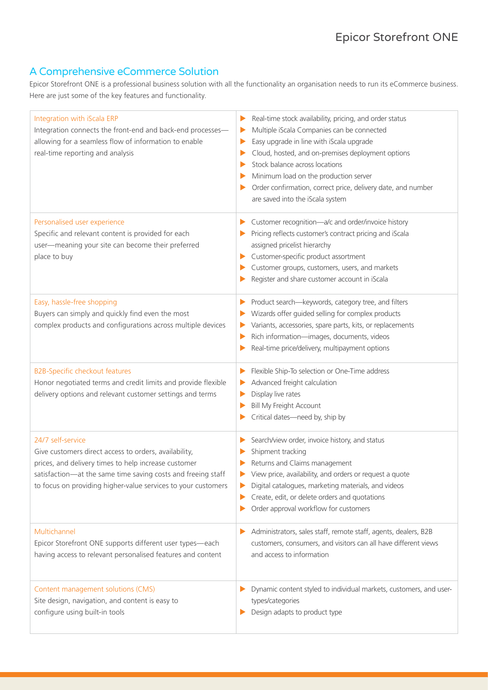# A Comprehensive eCommerce Solution

Epicor Storefront ONE is a professional business solution with all the functionality an organisation needs to run its eCommerce business. Here are just some of the key features and functionality.

| Integration with iScala ERP<br>Integration connects the front-end and back-end processes-<br>allowing for a seamless flow of information to enable<br>real-time reporting and analysis                                                                              | Real-time stock availability, pricing, and order status<br>▶<br>Multiple iScala Companies can be connected<br>Easy upgrade in line with iScala upgrade<br>▶<br>Cloud, hosted, and on-premises deployment options<br>Stock balance across locations<br>Minimum load on the production server<br>Order confirmation, correct price, delivery date, and number<br>are saved into the iScala system |
|---------------------------------------------------------------------------------------------------------------------------------------------------------------------------------------------------------------------------------------------------------------------|-------------------------------------------------------------------------------------------------------------------------------------------------------------------------------------------------------------------------------------------------------------------------------------------------------------------------------------------------------------------------------------------------|
| Personalised user experience<br>Specific and relevant content is provided for each<br>user-meaning your site can become their preferred<br>place to buy                                                                                                             | Customer recognition-a/c and order/invoice history<br>Pricing reflects customer's contract pricing and iScala<br>assigned pricelist hierarchy<br>Customer-specific product assortment<br>Customer groups, customers, users, and markets<br>Register and share customer account in iScala                                                                                                        |
| Easy, hassle-free shopping<br>Buyers can simply and quickly find even the most<br>complex products and configurations across multiple devices                                                                                                                       | Product search-keywords, category tree, and filters<br>Wizards offer guided selling for complex products<br>Variants, accessories, spare parts, kits, or replacements<br>Rich information-images, documents, videos<br>Real-time price/delivery, multipayment options                                                                                                                           |
| <b>B2B-Specific checkout features</b><br>Honor negotiated terms and credit limits and provide flexible<br>delivery options and relevant customer settings and terms                                                                                                 | Flexible Ship-To selection or One-Time address<br>Advanced freight calculation<br>Display live rates<br>Bill My Freight Account<br>Critical dates-need by, ship by                                                                                                                                                                                                                              |
| 24/7 self-service<br>Give customers direct access to orders, availability,<br>prices, and delivery times to help increase customer<br>satisfaction—at the same time saving costs and freeing staff<br>to focus on providing higher-value services to your customers | Search/view order, invoice history, and status<br>Shipment tracking<br>Returns and Claims management<br>View price, availability, and orders or request a quote<br>Digital catalogues, marketing materials, and videos<br>Create, edit, or delete orders and quotations<br>Order approval workflow for customers                                                                                |
| Multichannel<br>Epicor Storefront ONE supports different user types-each<br>having access to relevant personalised features and content                                                                                                                             | Administrators, sales staff, remote staff, agents, dealers, B2B<br>customers, consumers, and visitors can all have different views<br>and access to information                                                                                                                                                                                                                                 |
| Content management solutions (CMS)<br>Site design, navigation, and content is easy to<br>configure using built-in tools                                                                                                                                             | Dynamic content styled to individual markets, customers, and user-<br>types/categories<br>Design adapts to product type                                                                                                                                                                                                                                                                         |